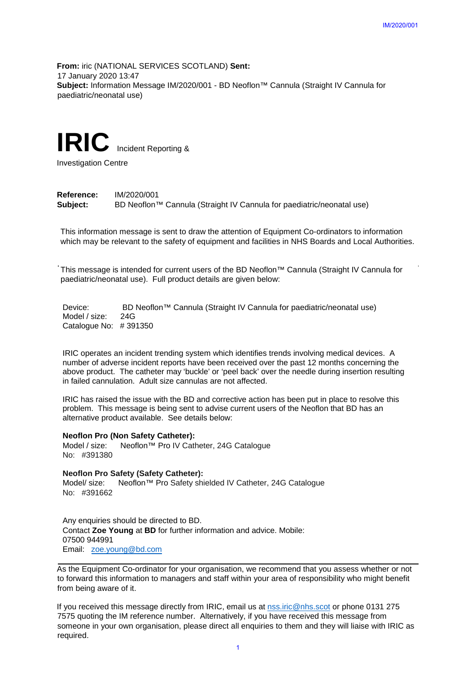**From:** iric (NATIONAL SERVICES SCOTLAND) **Sent:** 17 January 2020 13:47 **Subject:** Information Message IM/2020/001 - BD Neoflon™ Cannula (Straight IV Cannula for paediatric/neonatal use)

# **IRIC** Incident Reporting &

Investigation Centre

## **Reference:** IM/2020/001 **Subject:** BD Neoflon™ Cannula (Straight IV Cannula for paediatric/neonatal use)

This information message is sent to draw the attention of Equipment Co-ordinators to information which may be relevant to the safety of equipment and facilities in NHS Boards and Local Authorities.

This message is intended for current users of the BD Neoflon™ Cannula (Straight IV Cannula for paediatric/neonatal use). Full product details are given below:

Device: BD Neoflon<sup>™</sup> Cannula (Straight IV Cannula for paediatric/neonatal use) Model / size: 24G Catalogue No: # 391350

IRIC operates an incident trending system which identifies trends involving medical devices. A number of adverse incident reports have been received over the past 12 months concerning the above product. The catheter may 'buckle' or 'peel back' over the needle during insertion resulting in failed cannulation. Adult size cannulas are not affected.

IRIC has raised the issue with the BD and corrective action has been put in place to resolve this problem. This message is being sent to advise current users of the Neoflon that BD has an alternative product available. See details below:

## **Neoflon Pro (Non Safety Catheter):**

Model / size: Neoflon™ Pro IV Catheter, 24G Catalogue No: #391380

#### **Neoflon Pro Safety (Safety Catheter):**

Model/ size: Neoflon™ Pro Safety shielded IV Catheter, 24G Catalogue No: #391662

Any enquiries should be directed to BD. Contact **Zoe Young** at **BD** for further information and advice. Mobile: 07500 944991 Email: zoe.young@bd.com

As the Equipment Co-ordinator for your organisation, we recommend that you assess whether or not to forward this information to managers and staff within your area of responsibility who might benefit from being aware of it.

If you received this message directly from IRIC, email us at nss.iric@nhs.scot or phone 0131 275 7575 quoting the IM reference number.Alternatively, if you have received this message from someone in your own organisation, please direct all enquiries to them and they will liaise with IRIC as required. IM/2020/001<br>
IM/2020/001<br>
IM/2020/001<br>
IM/2020/001<br>
IM/2020/001<br>
IM/30 Cannula (Straight IV Cannula for<br>
IM/30 Dearl Co-ordinaters to information<br>
IM/30 Dearl Authorities<br>
ID Neoflon<sup>Tux</sup> Cannula (Straight IV Cannula for<br>